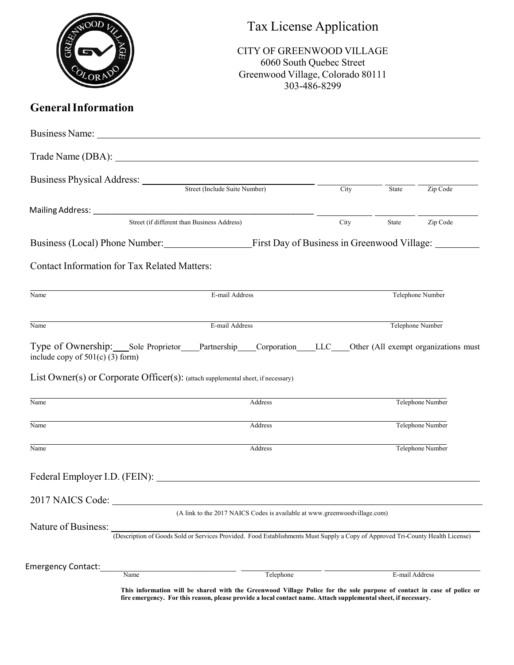|                                                     |                                                                                   |                                                                                                                                                                                                                                | Tax License Application<br><b>CITY OF GREENWOOD VILLAGE</b><br>6060 South Quebec Street<br>Greenwood Village, Colorado 80111<br>303-486-8299 |                  |                  |  |  |
|-----------------------------------------------------|-----------------------------------------------------------------------------------|--------------------------------------------------------------------------------------------------------------------------------------------------------------------------------------------------------------------------------|----------------------------------------------------------------------------------------------------------------------------------------------|------------------|------------------|--|--|
| <b>General Information</b>                          |                                                                                   |                                                                                                                                                                                                                                |                                                                                                                                              |                  |                  |  |  |
|                                                     |                                                                                   | Business Name: Name: Name: Name: Name: Name: Name: Name: Name: Name: Name: Name: Name: Name: Name: Name: Name: Name: Name: Name: Name: Name: Name: Name: Name: Name: Name: Name: Name: Name: Name: Name: Name: Name: Name: Nam |                                                                                                                                              |                  |                  |  |  |
|                                                     |                                                                                   |                                                                                                                                                                                                                                |                                                                                                                                              |                  |                  |  |  |
|                                                     |                                                                                   | Business Physical Address: Street (Include Suite Number) City                                                                                                                                                                  |                                                                                                                                              | State            | Zip Code         |  |  |
|                                                     |                                                                                   |                                                                                                                                                                                                                                |                                                                                                                                              |                  |                  |  |  |
|                                                     |                                                                                   | Street (if different than Business Address)                                                                                                                                                                                    | City                                                                                                                                         | State            | Zip Code         |  |  |
|                                                     | Business (Local) Phone Number: First Day of Business in Greenwood Village: ______ |                                                                                                                                                                                                                                |                                                                                                                                              |                  |                  |  |  |
| <b>Contact Information for Tax Related Matters:</b> |                                                                                   |                                                                                                                                                                                                                                |                                                                                                                                              |                  |                  |  |  |
| Name                                                |                                                                                   | E-mail Address                                                                                                                                                                                                                 |                                                                                                                                              |                  | Telephone Number |  |  |
| Name                                                |                                                                                   | E-mail Address                                                                                                                                                                                                                 |                                                                                                                                              | Telephone Number |                  |  |  |
| include copy of $501(c)$ (3) form)                  |                                                                                   | Type of Ownership: Sole Proprietor Partnership Corporation LLC Other (All exempt organizations must                                                                                                                            |                                                                                                                                              |                  |                  |  |  |
|                                                     |                                                                                   | List Owner(s) or Corporate Officer(s): (attach supplemental sheet, if necessary)                                                                                                                                               |                                                                                                                                              |                  |                  |  |  |
| Name                                                | Address                                                                           |                                                                                                                                                                                                                                |                                                                                                                                              |                  | Telephone Number |  |  |
| Name                                                |                                                                                   | Address                                                                                                                                                                                                                        |                                                                                                                                              | Telephone Number |                  |  |  |
| Name                                                |                                                                                   | Address                                                                                                                                                                                                                        |                                                                                                                                              |                  | Telephone Number |  |  |
|                                                     |                                                                                   | Federal Employer I.D. (FEIN):                                                                                                                                                                                                  |                                                                                                                                              |                  |                  |  |  |
| 2017 NAICS Code:                                    |                                                                                   |                                                                                                                                                                                                                                |                                                                                                                                              |                  |                  |  |  |
|                                                     | (A link to the 2017 NAICS Codes is available at www.greenwoodvillage.com)         |                                                                                                                                                                                                                                |                                                                                                                                              |                  |                  |  |  |
| Nature of Business:                                 |                                                                                   | (Description of Goods Sold or Services Provided. Food Establishments Must Supply a Copy of Approved Tri-County Health License)                                                                                                 |                                                                                                                                              |                  |                  |  |  |
| <b>Emergency Contact:</b>                           |                                                                                   |                                                                                                                                                                                                                                |                                                                                                                                              |                  |                  |  |  |
|                                                     | Name                                                                              | Telephone<br>This information will be shared with the Greenwood Village Police for the sole purpose of contact in case of police or                                                                                            |                                                                                                                                              |                  | E-mail Address   |  |  |

**fire emergency. For this reason, please provide a local contact name. Attach supplemental sheet, if necessary.**